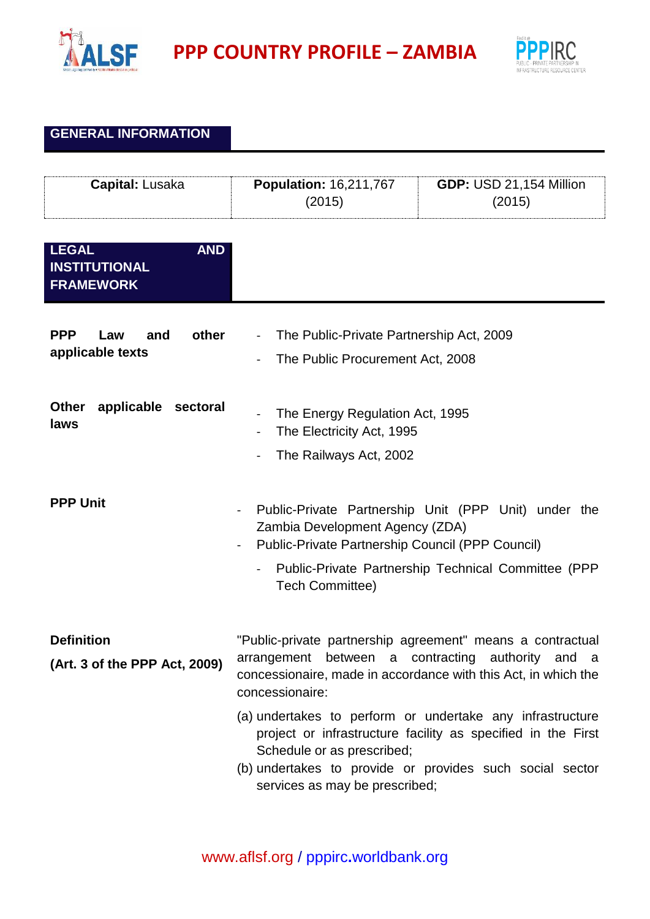

**PPP** COUNTRY PROFILE – ZAMBIA



## **GENERAL INFORMATION**

| Capital: Lusaka                                                        | <b>Population: 16,211,767</b><br>(2015)                                                                                                                                                              | <b>GDP: USD 21,154 Million</b><br>(2015)                                                                                                                                              |
|------------------------------------------------------------------------|------------------------------------------------------------------------------------------------------------------------------------------------------------------------------------------------------|---------------------------------------------------------------------------------------------------------------------------------------------------------------------------------------|
| <b>LEGAL</b><br><b>AND</b><br><b>INSTITUTIONAL</b><br><b>FRAMEWORK</b> |                                                                                                                                                                                                      |                                                                                                                                                                                       |
| <b>PPP</b><br>other<br>and<br>Law<br>applicable texts                  | The Public-Private Partnership Act, 2009<br>$\blacksquare$<br>The Public Procurement Act, 2008                                                                                                       |                                                                                                                                                                                       |
| <b>Other</b><br>applicable<br>sectoral<br>laws                         | The Energy Regulation Act, 1995<br>The Electricity Act, 1995<br>The Railways Act, 2002                                                                                                               |                                                                                                                                                                                       |
| <b>PPP Unit</b>                                                        | Zambia Development Agency (ZDA)<br>Public-Private Partnership Council (PPP Council)<br>$\blacksquare$<br><b>Tech Committee)</b>                                                                      | Public-Private Partnership Unit (PPP Unit) under the<br>Public-Private Partnership Technical Committee (PPP                                                                           |
| <b>Definition</b><br>(Art. 3 of the PPP Act, 2009)                     | "Public-private partnership agreement" means a contractual<br>arrangement between a contracting authority and a<br>concessionaire, made in accordance with this Act, in which the<br>concessionaire: |                                                                                                                                                                                       |
|                                                                        | Schedule or as prescribed;<br>services as may be prescribed;                                                                                                                                         | (a) undertakes to perform or undertake any infrastructure<br>project or infrastructure facility as specified in the First<br>(b) undertakes to provide or provides such social sector |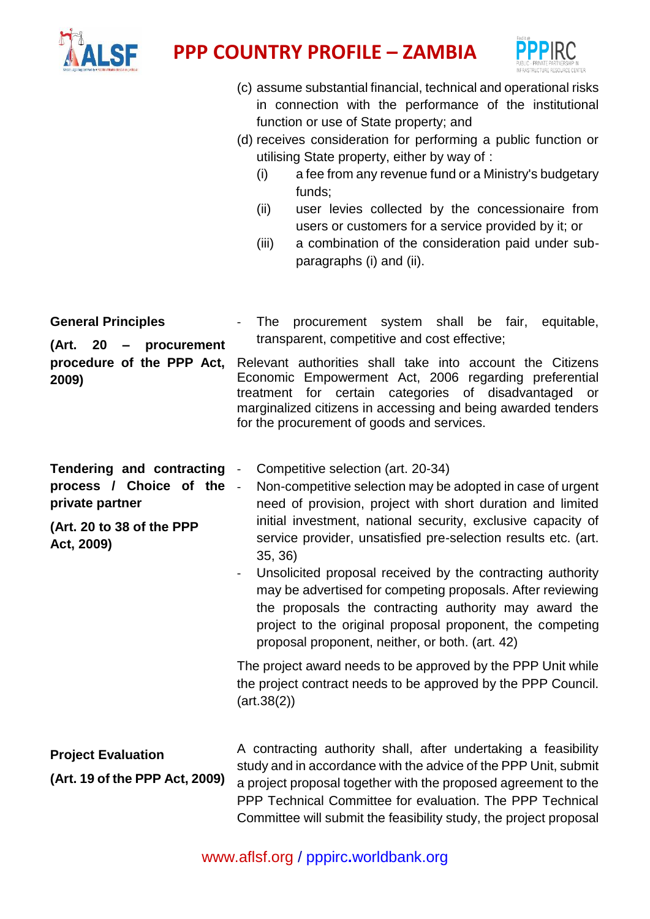



- (c) assume substantial financial, technical and operational risks in connection with the performance of the institutional function or use of State property; and
- (d) receives consideration for performing a public function or utilising State property, either by way of :
	- (i) a fee from any revenue fund or a Ministry's budgetary funds;
	- (ii) user levies collected by the concessionaire from users or customers for a service provided by it; or
	- (iii) a combination of the consideration paid under subparagraphs (i) and (ii).

| <b>General Principles</b><br>(Art. 20<br>procurement<br>$\qquad \qquad \blacksquare$<br>procedure of the PPP Act,<br>2009) | procurement system shall be fair, equitable,<br>The<br>transparent, competitive and cost effective;<br>Relevant authorities shall take into account the Citizens<br>Economic Empowerment Act, 2006 regarding preferential<br>categories of disadvantaged<br>for certain<br>treatment<br>or<br>marginalized citizens in accessing and being awarded tenders<br>for the procurement of goods and services.                                                                                                                                                                                                                                                                                                                                                                                             |
|----------------------------------------------------------------------------------------------------------------------------|------------------------------------------------------------------------------------------------------------------------------------------------------------------------------------------------------------------------------------------------------------------------------------------------------------------------------------------------------------------------------------------------------------------------------------------------------------------------------------------------------------------------------------------------------------------------------------------------------------------------------------------------------------------------------------------------------------------------------------------------------------------------------------------------------|
| <b>Tendering and contracting</b><br>process / Choice of the<br>private partner<br>(Art. 20 to 38 of the PPP<br>Act, 2009)  | Competitive selection (art. 20-34)<br>Non-competitive selection may be adopted in case of urgent<br>$\mathbb{Z}^2$<br>need of provision, project with short duration and limited<br>initial investment, national security, exclusive capacity of<br>service provider, unsatisfied pre-selection results etc. (art.<br>35, 36)<br>Unsolicited proposal received by the contracting authority<br>$\blacksquare$<br>may be advertised for competing proposals. After reviewing<br>the proposals the contracting authority may award the<br>project to the original proposal proponent, the competing<br>proposal proponent, neither, or both. (art. 42)<br>The project award needs to be approved by the PPP Unit while<br>the project contract needs to be approved by the PPP Council.<br>(art.38(2)) |
| <b>Project Evaluation</b><br>(Art. 19 of the PPP Act, 2009)                                                                | A contracting authority shall, after undertaking a feasibility<br>study and in accordance with the advice of the PPP Unit, submit<br>a project proposal together with the proposed agreement to the<br>PPP Technical Committee for evaluation. The PPP Technical<br>Committee will submit the feasibility study, the project proposal                                                                                                                                                                                                                                                                                                                                                                                                                                                                |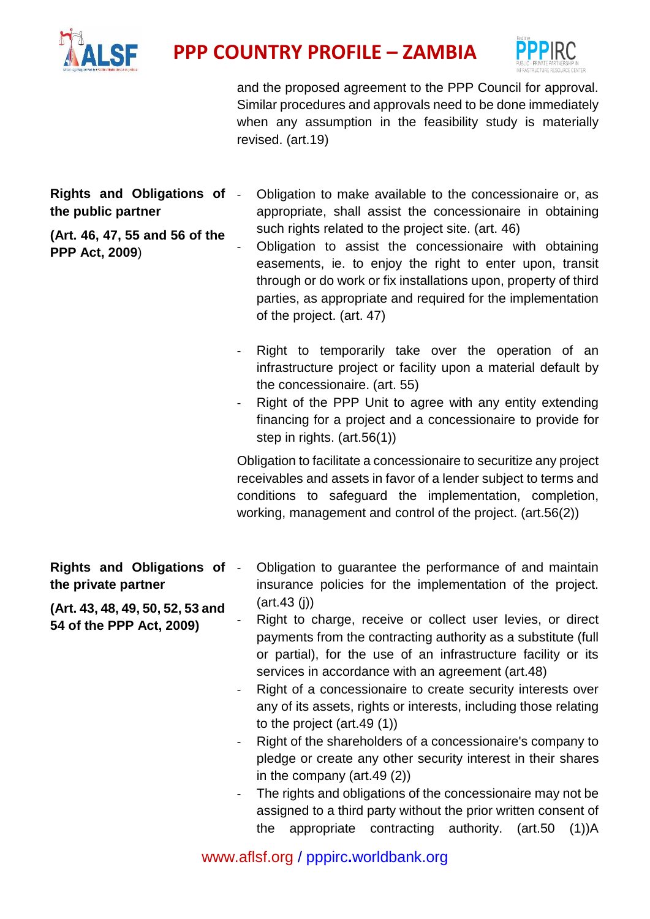



and the proposed agreement to the PPP Council for approval. Similar procedures and approvals need to be done immediately when any assumption in the feasibility study is materially revised. (art.19)

**Rights and Obligations of the public partner**

**(Art. 46, 47, 55 and 56 of the PPP Act, 2009**)

- Obligation to make available to the concessionaire or, as appropriate, shall assist the concessionaire in obtaining such rights related to the project site. (art. 46)
- Obligation to assist the concessionaire with obtaining easements, ie. to enjoy the right to enter upon, transit through or do work or fix installations upon, property of third parties, as appropriate and required for the implementation of the project. (art. 47)
- Right to temporarily take over the operation of an infrastructure project or facility upon a material default by the concessionaire. (art. 55)
- Right of the PPP Unit to agree with any entity extending financing for a project and a concessionaire to provide for step in rights. (art.56(1))

Obligation to facilitate a concessionaire to securitize any project receivables and assets in favor of a lender subject to terms and conditions to safeguard the implementation, completion, working, management and control of the project. (art.56(2))

- **Rights and Obligations of the private partner (Art. 43, 48, 49, 50, 52, 53 and**  - Obligation to guarantee the performance of and maintain insurance policies for the implementation of the project. (art.43 (j))
- **54 of the PPP Act, 2009)** Right to charge, receive or collect user levies, or direct payments from the contracting authority as a substitute (full or partial), for the use of an infrastructure facility or its services in accordance with an agreement (art.48)
	- Right of a concessionaire to create security interests over any of its assets, rights or interests, including those relating to the project (art.49 (1))
	- Right of the shareholders of a concessionaire's company to pledge or create any other security interest in their shares in the company (art.49 (2))
	- The rights and obligations of the concessionaire may not be assigned to a third party without the prior written consent of the appropriate contracting authority. (art.50 (1))A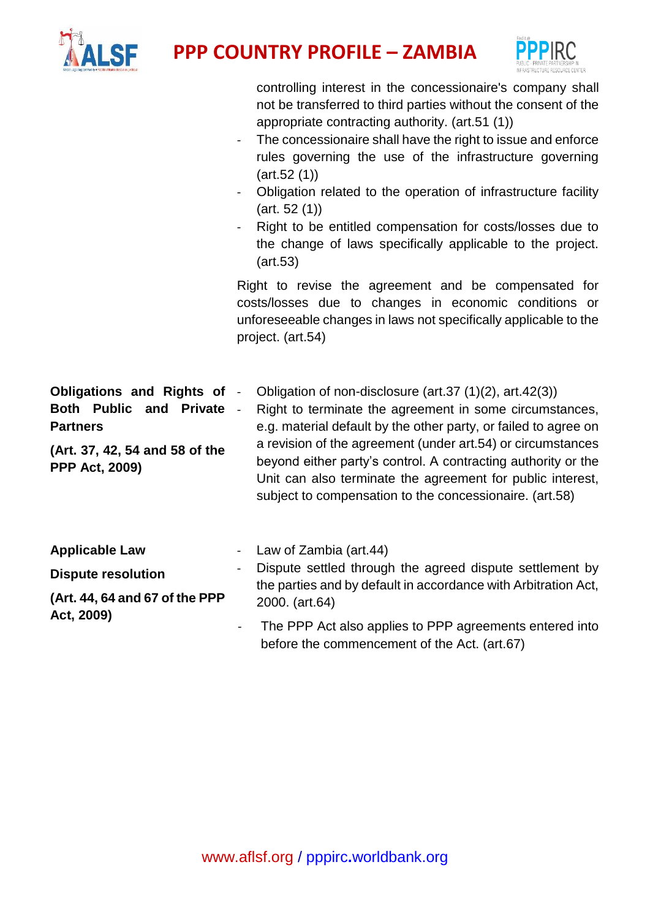



|                                                                                                                                                  | controlling interest in the concessionaire's company shall<br>not be transferred to third parties without the consent of the<br>appropriate contracting authority. (art.51 (1))<br>The concessionaire shall have the right to issue and enforce<br>rules governing the use of the infrastructure governing<br>(art.52(1))<br>Obligation related to the operation of infrastructure facility<br>(art. 52 (1))<br>Right to be entitled compensation for costs/losses due to<br>the change of laws specifically applicable to the project.<br>(art.53)<br>Right to revise the agreement and be compensated for<br>costs/losses due to changes in economic conditions or<br>unforeseeable changes in laws not specifically applicable to the<br>project. (art.54) |
|--------------------------------------------------------------------------------------------------------------------------------------------------|---------------------------------------------------------------------------------------------------------------------------------------------------------------------------------------------------------------------------------------------------------------------------------------------------------------------------------------------------------------------------------------------------------------------------------------------------------------------------------------------------------------------------------------------------------------------------------------------------------------------------------------------------------------------------------------------------------------------------------------------------------------|
| <b>Obligations and Rights of</b><br><b>Both Public and Private</b><br><b>Partners</b><br>(Art. 37, 42, 54 and 58 of the<br><b>PPP Act, 2009)</b> | Obligation of non-disclosure (art.37 (1)(2), art.42(3))<br>$\blacksquare$<br>Right to terminate the agreement in some circumstances,<br>$\blacksquare$<br>e.g. material default by the other party, or failed to agree on<br>a revision of the agreement (under art.54) or circumstances<br>beyond either party's control. A contracting authority or the<br>Unit can also terminate the agreement for public interest,<br>subject to compensation to the concessionaire. (art.58)                                                                                                                                                                                                                                                                            |
| <b>Applicable Law</b><br><b>Dispute resolution</b><br>(Art. 44, 64 and 67 of the PPP<br>Act, 2009)                                               | Law of Zambia (art.44)<br>$\blacksquare$<br>Dispute settled through the agreed dispute settlement by<br>the parties and by default in accordance with Arbitration Act,<br>2000. (art.64)<br>The PPP Act also applies to PPP agreements entered into<br>before the commencement of the Act. (art.67)                                                                                                                                                                                                                                                                                                                                                                                                                                                           |